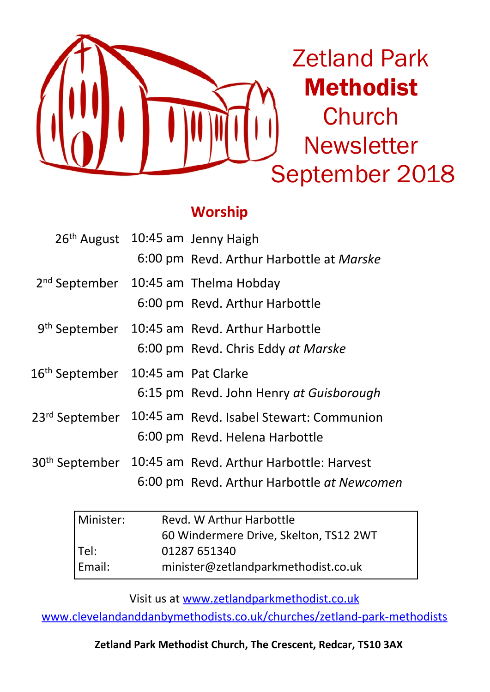

## **Worship**

| 26 <sup>th</sup> August 10:45 am Jenny Haigh   | 6:00 pm Revd. Arthur Harbottle at Marske                                                        |
|------------------------------------------------|-------------------------------------------------------------------------------------------------|
|                                                | 2 <sup>nd</sup> September 10:45 am Thelma Hobday<br>6:00 pm Revd. Arthur Harbottle              |
|                                                | 9 <sup>th</sup> September 10:45 am Revd. Arthur Harbottle<br>6:00 pm Revd. Chris Eddy at Marske |
| 16 <sup>th</sup> September 10:45 am Pat Clarke | 6:15 pm Revd. John Henry at Guisborough                                                         |
| 23 <sup>rd</sup> September                     | 10:45 am Revd. Isabel Stewart: Communion<br>6:00 pm Revd. Helena Harbottle                      |
| 30 <sup>th</sup> September                     | 10:45 am Revd. Arthur Harbottle: Harvest<br>6:00 pm Revd. Arthur Harbottle at Newcomen          |

| l Minister: | Revd. W Arthur Harbottle               |  |  |
|-------------|----------------------------------------|--|--|
|             | 60 Windermere Drive, Skelton, TS12 2WT |  |  |
| Tel:        | 01287 651340                           |  |  |
| Email:      | minister@zetlandparkmethodist.co.uk    |  |  |

Visit us at www.zetlandparkmethodist.co.uk

www.clevelandanddanbymethodists.co.uk/churches/zetland-park-methodists

**Zetland Park Methodist Church, The Crescent, Redcar, TS10 3AX**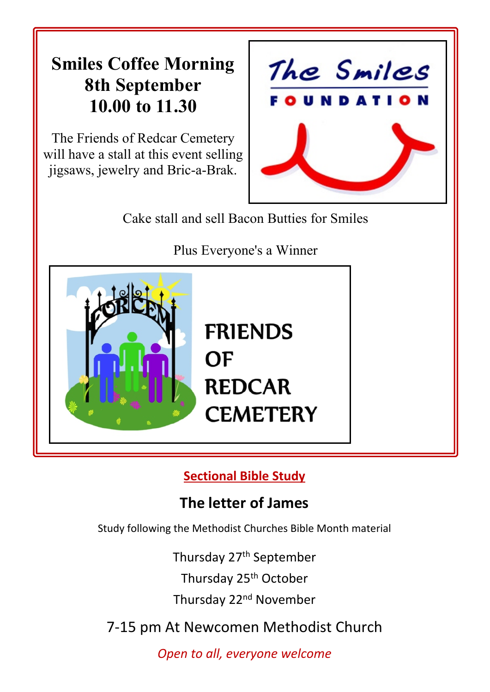# **Smiles Coffee Morning 8th September 10.00 to 11.30**

The Friends of Redcar Cemetery will have a stall at this event selling jigsaws, jewelry and Bric-a-Brak.



Cake stall and sell Bacon Butties for Smiles

Plus Everyone's a Winner



**Sectional Bible Study**

# **The letter of James**

Study following the Methodist Churches Bible Month material

Thursday 27<sup>th</sup> September Thursday 25th October

Thursday 22nd November

7-15 pm At Newcomen Methodist Church

*Open to all, everyone welcome*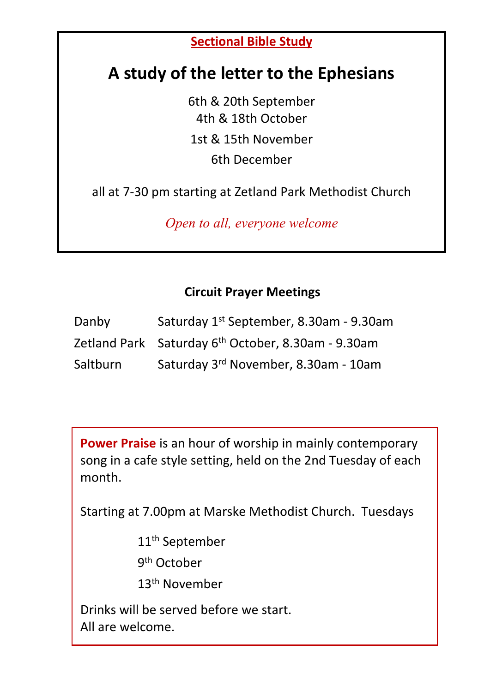### **Sectional Bible Study**

# **A study of the letter to the Ephesians**

6th & 20th September 4th & 18th October 1st & 15th November 6th December

all at 7-30 pm starting at Zetland Park Methodist Church

*Open to all, everyone welcome*

### **Circuit Prayer Meetings**

| Danby    | Saturday 1st September, 8.30am - 9.30am                        |
|----------|----------------------------------------------------------------|
|          | Zetland Park Saturday 6 <sup>th</sup> October, 8.30am - 9.30am |
| Saltburn | Saturday 3rd November, 8.30am - 10am                           |

**Power Praise** is an hour of worship in mainly contemporary song in a cafe style setting, held on the 2nd Tuesday of each month.

Starting at 7.00pm at Marske Methodist Church. Tuesdays

11th September

9<sup>th</sup> October

13th November

Drinks will be served before we start. All are welcome.